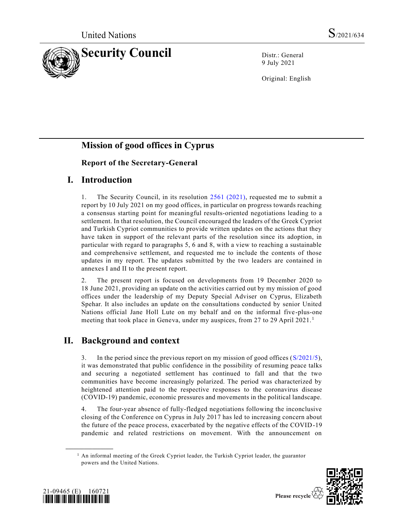

9 July 2021

Original: English

# **Mission of good offices in Cyprus**

# **Report of the Secretary-General**

# **I. Introduction**

1. The Security Council, in its resolution [2561 \(2021\),](https://undocs.org/en/S/RES/2561(2021)) requested me to submit a report by 10 July 2021 on my good offices, in particular on progress towards reaching a consensus starting point for meaningful results-oriented negotiations leading to a settlement. In that resolution, the Council encouraged the leaders of the Greek Cypriot and Turkish Cypriot communities to provide written updates on the actions that they have taken in support of the relevant parts of the resolution since its adoption, in particular with regard to paragraphs 5, 6 and 8, with a view to reaching a sustainable and comprehensive settlement, and requested me to include the contents of those updates in my report. The updates submitted by the two leaders are contained in annexes I and II to the present report.

2. The present report is focused on developments from 19 December 2020 to 18 June 2021, providing an update on the activities carried out by my mission of good offices under the leadership of my Deputy Special Adviser on Cyprus, Elizabeth Spehar. It also includes an update on the consultations conducted by senior United Nations official Jane Holl Lute on my behalf and on the informal five-plus-one meeting that took place in Geneva, under my auspices, from 27 to 29 April 2021.<sup>1</sup>

# **II. Background and context**

3. In the period since the previous report on my mission of good offices [\(S/2021/5\)](https://undocs.org/en/S/2021/5), it was demonstrated that public confidence in the possibility of resuming peace talks and securing a negotiated settlement has continued to fall and that the two communities have become increasingly polarized. The period was characterized by heightened attention paid to the respective responses to the coronavirus disease (COVID-19) pandemic, economic pressures and movements in the political landscape.

4. The four-year absence of fully-fledged negotiations following the inconclusive closing of the Conference on Cyprus in July 2017 has led to increasing concern about the future of the peace process, exacerbated by the negative effects of the COVID-19 pandemic and related restrictions on movement. With the announcement on

 $<sup>1</sup>$  An informal meeting of the Greek Cypriot leader, the Turkish Cypriot leader, the guarantor</sup> powers and the United Nations.





**\_\_\_\_\_\_\_\_\_\_\_\_\_\_\_\_\_\_**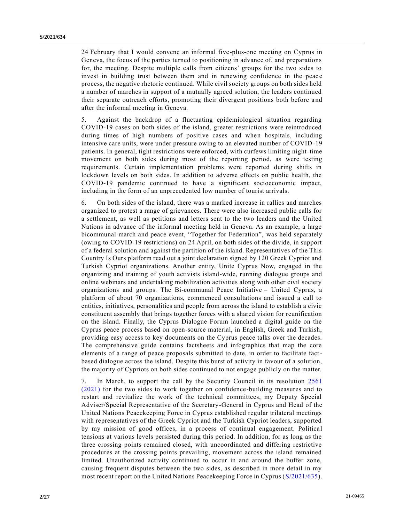24 February that I would convene an informal five-plus-one meeting on Cyprus in Geneva, the focus of the parties turned to positioning in advance of, and preparations for, the meeting. Despite multiple calls from citizens' groups for the two sides to invest in building trust between them and in renewing confidence in the peace process, the negative rhetoric continued. While civil society groups on both sides held a number of marches in support of a mutually agreed solution, the leaders continued their separate outreach efforts, promoting their divergent positions both before a nd after the informal meeting in Geneva.

5. Against the backdrop of a fluctuating epidemiological situation regarding COVID-19 cases on both sides of the island, greater restrictions were reintroduced during times of high numbers of positive cases and when hospitals, including intensive care units, were under pressure owing to an elevated number of COVID-19 patients. In general, tight restrictions were enforced, with curfews limiting night-time movement on both sides during most of the reporting period, as were testing requirements. Certain implementation problems were reported during shifts in lockdown levels on both sides. In addition to adverse effects on public health, the COVID-19 pandemic continued to have a significant socioeconomic impact, including in the form of an unprecedented low number of tourist arrivals.

6. On both sides of the island, there was a marked increase in rallies and marches organized to protest a range of grievances. There were also increased public calls for a settlement, as well as petitions and letters sent to the two leaders and the United Nations in advance of the informal meeting held in Geneva. As an example, a large bicommunal march and peace event, "Together for Federation", was held separately (owing to COVID-19 restrictions) on 24 April, on both sides of the divide, in support of a federal solution and against the partition of the island. Representatives of the This Country Is Ours platform read out a joint declaration signed by 120 Greek Cypriot and Turkish Cypriot organizations. Another entity, Unite Cyprus Now, engaged in the organizing and training of youth activists island-wide, running dialogue groups and online webinars and undertaking mobilization activities along with other civil society organizations and groups. The Bi-communal Peace Initiative – United Cyprus, a platform of about 70 organizations, commenced consultations and issued a call to entities, initiatives, personalities and people from across the island to establish a civic constituent assembly that brings together forces with a shared vision for reunification on the island. Finally, the Cyprus Dialogue Forum launched a digital guide on the Cyprus peace process based on open-source material, in English, Greek and Turkish, providing easy access to key documents on the Cyprus peace talks over the decades. The comprehensive guide contains factsheets and infographics that map the core elements of a range of peace proposals submitted to date, in order to facilitate factbased dialogue across the island. Despite this burst of activity in favour of a solution, the majority of Cypriots on both sides continued to not engage publicly on the matter.

7. In March, to support the call by the Security Council in its resolution [2561](https://undocs.org/en/S/RES/2561(2021))  [\(2021\)](https://undocs.org/en/S/RES/2561(2021)) for the two sides to work together on confidence-building measures and to restart and revitalize the work of the technical committees, my Deputy Special Adviser/Special Representative of the Secretary-General in Cyprus and Head of the United Nations Peacekeeping Force in Cyprus established regular trilateral meetings with representatives of the Greek Cypriot and the Turkish Cypriot leaders, supported by my mission of good offices, in a process of continual engagement. Political tensions at various levels persisted during this period. In addition, for as long as the three crossing points remained closed, with uncoordinated and differing restrictive procedures at the crossing points prevailing, movement across the island remained limited. Unauthorized activity continued to occur in and around the buffer zone, causing frequent disputes between the two sides, as described in more detail in my most recent report on the United Nations Peacekeeping Force in Cyprus [\(S/2021/635\)](https://undocs.org/en/S/2021/635).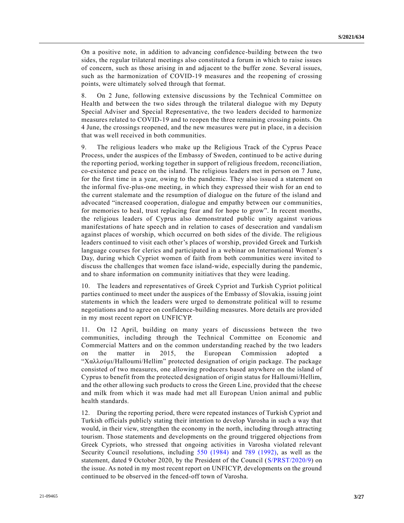On a positive note, in addition to advancing confidence-building between the two sides, the regular trilateral meetings also constituted a forum in which to raise issues of concern, such as those arising in and adjacent to the buffer zone. Several issues, such as the harmonization of COVID-19 measures and the reopening of crossing points, were ultimately solved through that format.

8. On 2 June, following extensive discussions by the Technical Committee on Health and between the two sides through the trilateral dialogue with my Deputy Special Adviser and Special Representative, the two leaders decided to harmonize measures related to COVID-19 and to reopen the three remaining crossing points. On 4 June, the crossings reopened, and the new measures were put in place, in a decision that was well received in both communities.

9. The religious leaders who make up the Religious Track of the Cyprus Peace Process, under the auspices of the Embassy of Sweden, continued to be active during the reporting period, working together in support of religious freedom, reconciliation, co-existence and peace on the island. The religious leaders met in person on 7 June, for the first time in a year, owing to the pandemic. They also issued a statement on the informal five-plus-one meeting, in which they expressed their wish for an end to the current stalemate and the resumption of dialogue on the future of the island and advocated "increased cooperation, dialogue and empathy between our communities, for memories to heal, trust replacing fear and for hope to grow". In recent months, the religious leaders of Cyprus also demonstrated public unity against various manifestations of hate speech and in relation to cases of desecration and vandalism against places of worship, which occurred on both sides of the divide. The religious leaders continued to visit each other's places of worship, provided Greek and Turkish language courses for clerics and participated in a webinar on International Women's Day, during which Cypriot women of faith from both communities were invited to discuss the challenges that women face island-wide, especially during the pandemic, and to share information on community initiatives that they were leading.

10. The leaders and representatives of Greek Cypriot and Turkish Cypriot political parties continued to meet under the auspices of the Embassy of Slovakia, issuing joint statements in which the leaders were urged to demonstrate political will to resume negotiations and to agree on confidence-building measures. More details are provided in my most recent report on UNFICYP.

11. On 12 April, building on many years of discussions between the two communities, including through the Technical Committee on Economic and Commercial Matters and on the common understanding reached by the two leaders on the matter in 2015, the European Commission adopted a "Χαλλούμι/Halloumi/Hellim" protected designation of origin package. The package consisted of two measures, one allowing producers based anywhere on the island of Cyprus to benefit from the protected designation of origin status for Halloumi/Hellim, and the other allowing such products to cross the Green Line, provided that the cheese and milk from which it was made had met all European Union animal and public health standards.

12. During the reporting period, there were repeated instances of Turkish Cypriot and Turkish officials publicly stating their intention to develop Varosha in such a way that would, in their view, strengthen the economy in the north, including through attracting tourism. Those statements and developments on the ground triggered objections from Greek Cypriots, who stressed that ongoing activities in Varosha violated relevant Security Council resolutions, including [550 \(1984\)](https://undocs.org/en/S/RES/550(1984)) and [789 \(1992\),](https://undocs.org/en/S/RES/789(1992)) as well as the statement, dated 9 October 2020, by the President of the Council [\(S/PRST/2020/9\)](https://undocs.org/en/S/PRST/2020/9) on the issue. As noted in my most recent report on UNFICYP, developments on the ground continued to be observed in the fenced-off town of Varosha.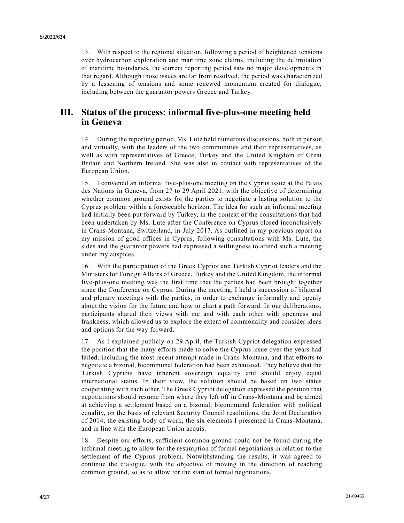13. With respect to the regional situation, following a period of heightened tensions over hydrocarbon exploration and maritime zone claims, including the delimitation of maritime boundaries, the current reporting period saw no major developments in that regard. Although those issues are far from resolved, the period was characteri zed by a lessening of tensions and some renewed momentum created for dialogue, including between the guarantor powers Greece and Turkey.

# **III. Status of the process: informal five-plus-one meeting held in Geneva**

14. During the reporting period, Ms. Lute held numerous discussions, both in person and virtually, with the leaders of the two communities and their representatives, as well as with representatives of Greece, Turkey and the United Kingdom of Great Britain and Northern Ireland. She was also in contact with representatives of the European Union.

15. I convened an informal five-plus-one meeting on the Cyprus issue at the Palais des Nations in Geneva, from 27 to 29 April 2021, with the objective of determining whether common ground exists for the parties to negotiate a lasting solution to the Cyprus problem within a foreseeable horizon. The idea for such an informal meeting had initially been put forward by Turkey, in the context of the consultations that had been undertaken by Ms. Lute after the Conference on Cyprus closed inconclusively in Crans-Montana, Switzerland, in July 2017. As outlined in my previous report on my mission of good offices in Cyprus, following consultations with Ms. Lute, the sides and the guarantor powers had expressed a willingness to attend such a meeting under my auspices.

16. With the participation of the Greek Cypriot and Turkish Cypriot leaders and the Ministers for Foreign Affairs of Greece, Turkey and the United Kingdom, the informal five-plus-one meeting was the first time that the parties had been brought together since the Conference on Cyprus. During the meeting, I held a succession of bilateral and plenary meetings with the parties, in order to exchange informally and openly about the vision for the future and how to chart a path forward. In our deliberations, participants shared their views with me and with each other with openness and frankness, which allowed us to explore the extent of commonality and consider ideas and options for the way forward.

17. As I explained publicly on 29 April, the Turkish Cypriot delegation expressed the position that the many efforts made to solve the Cyprus issue over the years had failed, including the most recent attempt made in Crans-Montana, and that efforts to negotiate a bizonal, bicommunal federation had been exhausted. They believe that the Turkish Cypriots have inherent sovereign equality and should enjoy equal international status. In their view, the solution should be based on two states cooperating with each other. The Greek Cypriot delegation expressed the position that negotiations should resume from where they left off in Crans-Montana and be aimed at achieving a settlement based on a bizonal, bicommunal federation with political equality, on the basis of relevant Security Council resolutions, the Joint Declaration of 2014, the existing body of work, the six elements I presented in Crans-Montana, and in line with the European Union acquis.

18. Despite our efforts, sufficient common ground could not be found during the informal meeting to allow for the resumption of formal negotiations in relation to the settlement of the Cyprus problem. Notwithstanding the results, it was agreed to continue the dialogue, with the objective of moving in the direction of reaching common ground, so as to allow for the start of formal negotiations.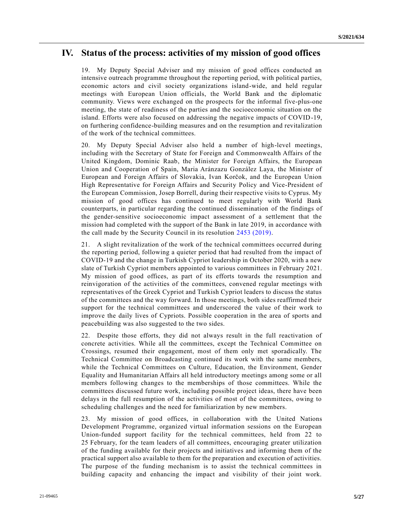## **IV. Status of the process: activities of my mission of good offices**

19. My Deputy Special Adviser and my mission of good offices conducted an intensive outreach programme throughout the reporting period, with political parties, economic actors and civil society organizations island-wide, and held regular meetings with European Union officials, the World Bank and the diplomatic community. Views were exchanged on the prospects for the informal five-plus-one meeting, the state of readiness of the parties and the socioeconomic situation on the island. Efforts were also focused on addressing the negative impacts of COVID-19, on furthering confidence-building measures and on the resumption and revitalization of the work of the technical committees.

20. My Deputy Special Adviser also held a number of high-level meetings, including with the Secretary of State for Foreign and Commonwealth Affairs of the United Kingdom, Dominic Raab, the Minister for Foreign Affairs, the European Union and Cooperation of Spain, Maria Aránzazu González Laya, the Minister of European and Foreign Affairs of Slovakia, Ivan Korčok, and the European Union High Representative for Foreign Affairs and Security Policy and Vice-President of the European Commission, Josep Borrell, during their respective visits to Cyprus. My mission of good offices has continued to meet regularly with World Bank counterparts, in particular regarding the continued dissemination of the findings of the gender-sensitive socioeconomic impact assessment of a settlement that the mission had completed with the support of the Bank in late 2019, in accordance with the call made by the Security Council in its resolution [2453 \(2019\).](https://undocs.org/en/S/RES/2453(2019))

21. A slight revitalization of the work of the technical committees occurred during the reporting period, following a quieter period that had resulted from the impact of COVID-19 and the change in Turkish Cypriot leadership in October 2020, with a new slate of Turkish Cypriot members appointed to various committees in February 2021. My mission of good offices, as part of its efforts towards the resumption and reinvigoration of the activities of the committees, convened regular meetings with representatives of the Greek Cypriot and Turkish Cypriot leaders to discuss the status of the committees and the way forward. In those meetings, both sides reaffirmed their support for the technical committees and underscored the value of their work to improve the daily lives of Cypriots. Possible cooperation in the area of sports and peacebuilding was also suggested to the two sides.

22. Despite those efforts, they did not always result in the full reactivation of concrete activities. While all the committees, except the Technical Committee on Crossings, resumed their engagement, most of them only met sporadically. The Technical Committee on Broadcasting continued its work with the same members, while the Technical Committees on Culture, Education, the Environment, Gender Equality and Humanitarian Affairs all held introductory meetings among some or all members following changes to the memberships of those committees. While the committees discussed future work, including possible project ideas, there have been delays in the full resumption of the activities of most of the committees, owing to scheduling challenges and the need for familiarization by new members.

23. My mission of good offices, in collaboration with the United Nations Development Programme, organized virtual information sessions on the European Union-funded support facility for the technical committees, held from 22 to 25 February, for the team leaders of all committees, encouraging greater utilization of the funding available for their projects and initiatives and informing them of the practical support also available to them for the preparation and execution of activities. The purpose of the funding mechanism is to assist the technical committees in building capacity and enhancing the impact and visibility of their joint work.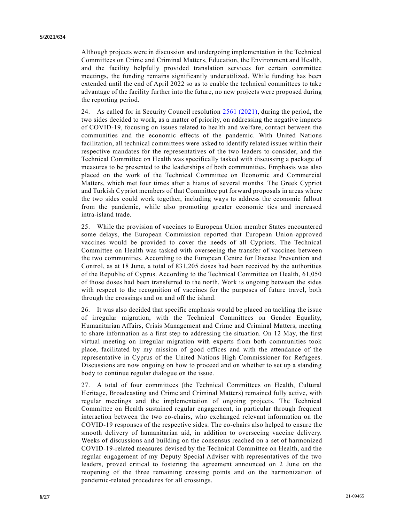Although projects were in discussion and undergoing implementation in the Technical Committees on Crime and Criminal Matters, Education, the Environment and Health, and the facility helpfully provided translation services for certain committee meetings, the funding remains significantly underutilized. While funding has been extended until the end of April 2022 so as to enable the technical committees to take advantage of the facility further into the future, no new projects were proposed during the reporting period.

24. As called for in Security Council resolution [2561 \(2021\),](https://undocs.org/en/S/RES/2561(2021)) during the period, the two sides decided to work, as a matter of priority, on addressing the negative impacts of COVID-19, focusing on issues related to health and welfare, contact between the communities and the economic effects of the pandemic. With United Nations facilitation, all technical committees were asked to identify related issues within their respective mandates for the representatives of the two leaders to consider, and the Technical Committee on Health was specifically tasked with discussing a package of measures to be presented to the leaderships of both communities. Emphasis was also placed on the work of the Technical Committee on Economic and Commercial Matters, which met four times after a hiatus of several months. The Greek Cypriot and Turkish Cypriot members of that Committee put forward proposals in areas where the two sides could work together, including ways to address the economic fallout from the pandemic, while also promoting greater economic ties and increased intra-island trade.

25. While the provision of vaccines to European Union member States encountered some delays, the European Commission reported that European Union-approved vaccines would be provided to cover the needs of all Cypriots. The Technical Committee on Health was tasked with overseeing the transfer of vaccines between the two communities. According to the European Centre for Disease Prevention and Control, as at 18 June, a total of 831,205 doses had been received by the authorities of the Republic of Cyprus. According to the Technical Committee on Health, 61,050 of those doses had been transferred to the north. Work is ongoing between the sides with respect to the recognition of vaccines for the purposes of future travel, both through the crossings and on and off the island.

26. It was also decided that specific emphasis would be placed on tackling the issue of irregular migration, with the Technical Committees on Gender Equality, Humanitarian Affairs, Crisis Management and Crime and Criminal Matters, meeting to share information as a first step to addressing the situation. On 12 May, the first virtual meeting on irregular migration with experts from both communities took place, facilitated by my mission of good offices and with the attendance of the representative in Cyprus of the United Nations High Commissioner for Refugees. Discussions are now ongoing on how to proceed and on whether to set up a standing body to continue regular dialogue on the issue.

27. A total of four committees (the Technical Committees on Health, Cultural Heritage, Broadcasting and Crime and Criminal Matters) remained fully active, with regular meetings and the implementation of ongoing projects. The Technical Committee on Health sustained regular engagement, in particular through frequent interaction between the two co-chairs, who exchanged relevant information on the COVID-19 responses of the respective sides. The co-chairs also helped to ensure the smooth delivery of humanitarian aid, in addition to overseeing vaccine delivery. Weeks of discussions and building on the consensus reached on a set of harmonized COVID-19-related measures devised by the Technical Committee on Health, and the regular engagement of my Deputy Special Adviser with representatives of the two leaders, proved critical to fostering the agreement announced on 2 June on the reopening of the three remaining crossing points and on the harmonization of pandemic-related procedures for all crossings.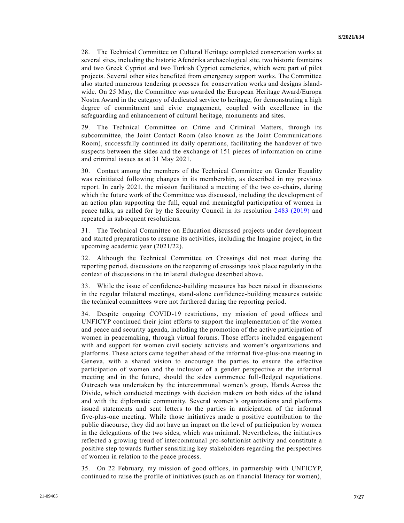28. The Technical Committee on Cultural Heritage completed conservation works at several sites, including the historic Afendrika archaeological site, two historic fountains and two Greek Cypriot and two Turkish Cypriot cemeteries, which were part of pilot projects. Several other sites benefited from emergency support works. The Committee also started numerous tendering processes for conservation works and designs islandwide. On 25 May, the Committee was awarded the European Heritage Award/Europa Nostra Award in the category of dedicated service to heritage, for demonstrating a high degree of commitment and civic engagement, coupled with excellence in the safeguarding and enhancement of cultural heritage, monuments and sites.

29. The Technical Committee on Crime and Criminal Matters, through its subcommittee, the Joint Contact Room (also known as the Joint Communications Room), successfully continued its daily operations, facilitating the handover of two suspects between the sides and the exchange of 151 pieces of information on crime and criminal issues as at 31 May 2021.

30. Contact among the members of the Technical Committee on Gender Equality was reinitiated following changes in its membership, as described in my previous report. In early 2021, the mission facilitated a meeting of the two co-chairs, during which the future work of the Committee was discussed, including the development of an action plan supporting the full, equal and meaningful participation of women in peace talks, as called for by the Security Council in its resolution [2483 \(2019\)](https://undocs.org/en/S/RES/2483(2019)) and repeated in subsequent resolutions.

31. The Technical Committee on Education discussed projects under development and started preparations to resume its activities, including the Imagine project, in the upcoming academic year (2021/22).

32. Although the Technical Committee on Crossings did not meet during the reporting period, discussions on the reopening of crossings took place regularly in the context of discussions in the trilateral dialogue described above.

33. While the issue of confidence-building measures has been raised in discussions in the regular trilateral meetings, stand-alone confidence-building measures outside the technical committees were not furthered during the reporting period.

34. Despite ongoing COVID-19 restrictions, my mission of good offices and UNFICYP continued their joint efforts to support the implementation of the women and peace and security agenda, including the promotion of the active participation of women in peacemaking, through virtual forums. Those efforts included engagement with and support for women civil society activists and women's organizations and platforms. These actors came together ahead of the informal five-plus-one meeting in Geneva, with a shared vision to encourage the parties to ensure the e ffective participation of women and the inclusion of a gender perspective at the informal meeting and in the future, should the sides commence full-fledged negotiations. Outreach was undertaken by the intercommunal women's group, Hands Across the Divide, which conducted meetings with decision makers on both sides of the island and with the diplomatic community. Several women's organizations and platforms issued statements and sent letters to the parties in anticipation of the informal five-plus-one meeting. While those initiatives made a positive contribution to the public discourse, they did not have an impact on the level of participation by women in the delegations of the two sides, which was minimal. Nevertheless, the initiatives reflected a growing trend of intercommunal pro-solutionist activity and constitute a positive step towards further sensitizing key stakeholders regarding the perspectives of women in relation to the peace process.

35. On 22 February, my mission of good offices, in partnership with UNFICYP, continued to raise the profile of initiatives (such as on financial literacy for women),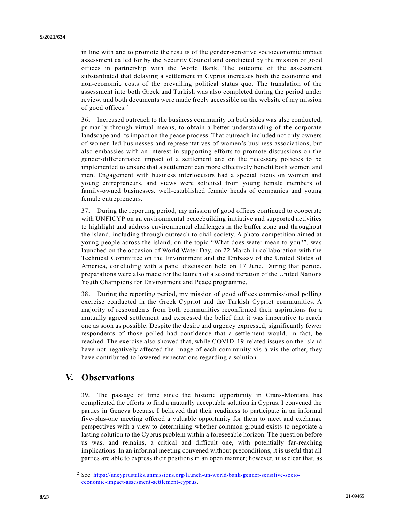in line with and to promote the results of the gender-sensitive socioeconomic impact assessment called for by the Security Council and conducted by the mission of good offices in partnership with the World Bank. The outcome of the assessment substantiated that delaying a settlement in Cyprus increases both the economic and non-economic costs of the prevailing political status quo. The translation of the assessment into both Greek and Turkish was also completed during the period under review, and both documents were made freely accessible on the website of my mission of good offices.<sup>2</sup>

36. Increased outreach to the business community on both sides was also conducted, primarily through virtual means, to obtain a better understanding of the corporate landscape and its impact on the peace process. That outreach included not only owners of women-led businesses and representatives of women's business associations, but also embassies with an interest in supporting efforts to promote discussions on the gender-differentiated impact of a settlement and on the necessary policies to be implemented to ensure that a settlement can more effectively benefit both women and men. Engagement with business interlocutors had a special focus on women and young entrepreneurs, and views were solicited from young female members of family-owned businesses, well-established female heads of companies and young female entrepreneurs.

37. During the reporting period, my mission of good offices continued to cooperate with UNFICYP on an environmental peacebuilding initiative and supported activities to highlight and address environmental challenges in the buffer zone and throughout the island, including through outreach to civil society. A photo competition aimed at young people across the island, on the topic "What does water mean to you?", was launched on the occasion of World Water Day, on 22 March in collaboration with the Technical Committee on the Environment and the Embassy of the United States of America, concluding with a panel discussion held on 17 June. During that period, preparations were also made for the launch of a second iteration of the United Nations Youth Champions for Environment and Peace programme.

38. During the reporting period, my mission of good offices commissioned polling exercise conducted in the Greek Cypriot and the Turkish Cypriot communities. A majority of respondents from both communities reconfirmed their aspirations for a mutually agreed settlement and expressed the belief that it was imperative to reach one as soon as possible. Despite the desire and urgency expressed, significantly fewer respondents of those polled had confidence that a settlement would, in fact, be reached. The exercise also showed that, while COVID-19-related issues on the island have not negatively affected the image of each community vis-à-vis the other, they have contributed to lowered expectations regarding a solution.

# **V. Observations**

**\_\_\_\_\_\_\_\_\_\_\_\_\_\_\_\_\_\_**

39. The passage of time since the historic opportunity in Crans-Montana has complicated the efforts to find a mutually acceptable solution in Cyprus. I convened the parties in Geneva because I believed that their readiness to participate in an informal five-plus-one meeting offered a valuable opportunity for them to meet and exchange perspectives with a view to determining whether common ground exists to negotiate a lasting solution to the Cyprus problem within a foreseeable horizon. The question before us was, and remains, a critical and difficult one, with potentially far-reaching implications. In an informal meeting convened without preconditions, it is useful that all parties are able to express their positions in an open manner; however, it is clear that, as

<sup>2</sup> See: [https://uncyprustalks.unmissions.org/launch-un-world-bank-gender-sensitive-socio](https://uncyprustalks.unmissions.org/launch-un-world-bank-gender-sensitive-socio-economic-impact-assesment-settlement-cyprus)[economic-impact-assesment-settlement-cyprus.](https://uncyprustalks.unmissions.org/launch-un-world-bank-gender-sensitive-socio-economic-impact-assesment-settlement-cyprus)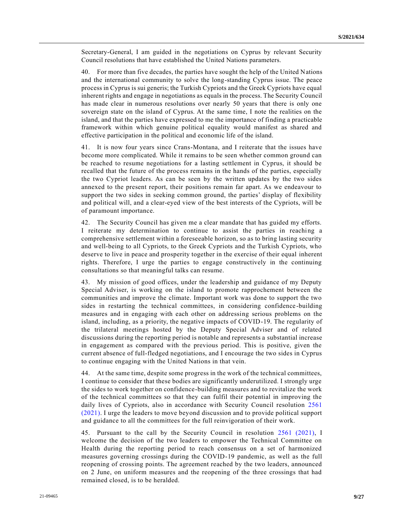Secretary-General, I am guided in the negotiations on Cyprus by relevant Security Council resolutions that have established the United Nations parameters.

40. For more than five decades, the parties have sought the help of the United Nations and the international community to solve the long-standing Cyprus issue. The peace process in Cyprus is sui generis; the Turkish Cypriots and the Greek Cypriots have equal inherent rights and engage in negotiations as equals in the process. The Security Council has made clear in numerous resolutions over nearly 50 years that there is only one sovereign state on the island of Cyprus. At the same time, I note the realities on the island, and that the parties have expressed to me the importance of finding a practicable framework within which genuine political equality would manifest as shared and effective participation in the political and economic life of the island.

41. It is now four years since Crans-Montana, and I reiterate that the issues have become more complicated. While it remains to be seen whether common ground can be reached to resume negotiations for a lasting settlement in Cyprus, it should be recalled that the future of the process remains in the hands of the parties, especially the two Cypriot leaders. As can be seen by the written updates by the two sides annexed to the present report, their positions remain far apart. As we endeavour to support the two sides in seeking common ground, the parties' display of flexibility and political will, and a clear-eyed view of the best interests of the Cypriots, will be of paramount importance.

42. The Security Council has given me a clear mandate that has guided my efforts. I reiterate my determination to continue to assist the parties in reaching a comprehensive settlement within a foreseeable horizon, so as to bring lasting security and well-being to all Cypriots, to the Greek Cypriots and the Turkish Cypriots, who deserve to live in peace and prosperity together in the exercise of their equal inherent rights. Therefore, I urge the parties to engage constructively in the continuing consultations so that meaningful talks can resume.

43. My mission of good offices, under the leadership and guidance of my Deputy Special Adviser, is working on the island to promote rapprochement between the communities and improve the climate. Important work was done to support the two sides in restarting the technical committees, in considering confidence -building measures and in engaging with each other on addressing serious problems on the island, including, as a priority, the negative impacts of COVID-19. The regularity of the trilateral meetings hosted by the Deputy Special Adviser and of related discussions during the reporting period is notable and represents a substantial increase in engagement as compared with the previous period. This is positive, given the current absence of full-fledged negotiations, and I encourage the two sides in Cyprus to continue engaging with the United Nations in that vein.

44. At the same time, despite some progress in the work of the technical committees, I continue to consider that these bodies are significantly underutilized. I strongly urge the sides to work together on confidence-building measures and to revitalize the work of the technical committees so that they can fulfil their potential in improving the daily lives of Cypriots, also in accordance with Security Council resolution [2561](https://undocs.org/en/S/RES/2561(2021))  [\(2021\).](https://undocs.org/en/S/RES/2561(2021)) I urge the leaders to move beyond discussion and to provide political support and guidance to all the committees for the full reinvigoration of their work.

45. Pursuant to the call by the Security Council in resolution [2561 \(2021\),](https://undocs.org/en/S/RES/2561(2021)) I welcome the decision of the two leaders to empower the Technical Committee on Health during the reporting period to reach consensus on a set of harmonized measures governing crossings during the COVID-19 pandemic, as well as the full reopening of crossing points. The agreement reached by the two leaders, announced on 2 June, on uniform measures and the reopening of the three crossings that had remained closed, is to be heralded.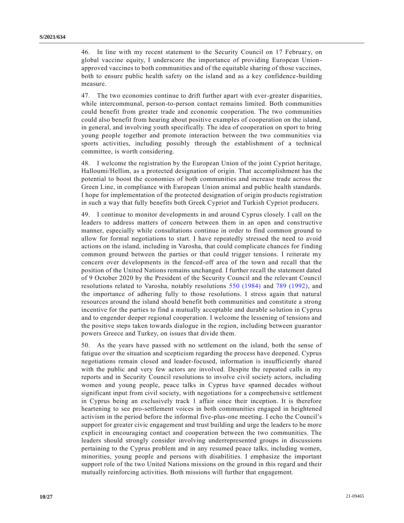46. In line with my recent statement to the Security Council on 17 February, on global vaccine equity, I underscore the importance of providing European Union approved vaccines to both communities and of the equitable sharing of those vaccines, both to ensure public health safety on the island and as a key confidence-building measure.

47. The two economies continue to drift further apart with ever-greater disparities, while intercommunal, person-to-person contact remains limited. Both communities could benefit from greater trade and economic cooperation. The two communities could also benefit from hearing about positive examples of cooperation on the island, in general, and involving youth specifically. The idea of cooperation on sport to bring young people together and promote interaction between the two communities via sports activities, including possibly through the establishment of a technical committee, is worth considering.

48. I welcome the registration by the European Union of the joint Cypriot heritage, Halloumi/Hellim, as a protected designation of origin. That accomplishment has the potential to boost the economies of both communities and increase trade across the Green Line, in compliance with European Union animal and public health standards. I hope for implementation of the protected designation of origin products registration in such a way that fully benefits both Greek Cypriot and Turkish Cypriot producers.

49. I continue to monitor developments in and around Cyprus closely. I call on the leaders to address matters of concern between them in an open and constructive manner, especially while consultations continue in order to find common ground to allow for formal negotiations to start. I have repeatedly stressed the need to avoid actions on the island, including in Varosha, that could complicate chances for finding common ground between the parties or that could trigger tensions. I reiterate my concern over developments in the fenced-off area of the town and recall that the position of the United Nations remains unchanged. I further recall the statement dated of 9 October 2020 by the President of the Security Council and the relevant Council resolutions related to Varosha, notably resolutions [550 \(1984\)](https://undocs.org/en/S/RES/550(1984)) and [789 \(1992\),](https://undocs.org/en/S/RES/789(1992)) and the importance of adhering fully to those resolutions. I stress again that natural resources around the island should benefit both communities and constitute a strong incentive for the parties to find a mutually acceptable and durable solution in Cyprus and to engender deeper regional cooperation. I welcome the lessening of tensions and the positive steps taken towards dialogue in the region, including between guarantor powers Greece and Turkey, on issues that divide them.

50. As the years have passed with no settlement on the island, both the sense of fatigue over the situation and scepticism regarding the process have deepened. Cyprus negotiations remain closed and leader-focused, information is insufficiently shared with the public and very few actors are involved. Despite the repeated calls in my reports and in Security Council resolutions to involve civil society actors, including women and young people, peace talks in Cyprus have spanned decades without significant input from civil society, with negotiations for a comprehensive settlement in Cyprus being an exclusively track 1 affair since their inception. It is therefore heartening to see pro-settlement voices in both communities engaged in heightened activism in the period before the informal five-plus-one meeting. I echo the Council's support for greater civic engagement and trust building and urge the leaders to be more explicit in encouraging contact and cooperation between the two communities. The leaders should strongly consider involving underrepresented groups in discussions pertaining to the Cyprus problem and in any resumed peace talks, including women, minorities, young people and persons with disabilities. I emphasize the important support role of the two United Nations missions on the ground in this regard and their mutually reinforcing activities. Both missions will further that engagement.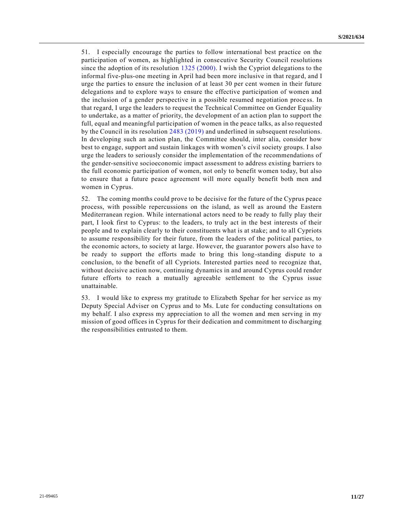51. I especially encourage the parties to follow international best practice on the participation of women, as highlighted in consecutive Security Council resolutions since the adoption of its resolution [1325 \(2000\).](https://undocs.org/en/S/RES/1325(2000)) I wish the Cypriot delegations to the informal five-plus-one meeting in April had been more inclusive in that regard, and I urge the parties to ensure the inclusion of at least 30 per cent women in their future delegations and to explore ways to ensure the effective participation of women and the inclusion of a gender perspective in a possible resumed negotiation proce ss. In that regard, I urge the leaders to request the Technical Committee on Gender Equality to undertake, as a matter of priority, the development of an action plan to support the full, equal and meaningful participation of women in the peace talks, as also requested by the Council in its resolution [2483 \(2019\)](https://undocs.org/en/S/RES/2483(2019)) and underlined in subsequent resolutions. In developing such an action plan, the Committee should, inter alia, consider how best to engage, support and sustain linkages with women's civil society groups. I also urge the leaders to seriously consider the implementation of the recommendations of the gender-sensitive socioeconomic impact assessment to address existing barriers to the full economic participation of women, not only to benefit women today, but also to ensure that a future peace agreement will more equally benefit both men and women in Cyprus.

52. The coming months could prove to be decisive for the future of the Cyprus peace process, with possible repercussions on the island, as well as around the Eastern Mediterranean region. While international actors need to be ready to fully play their part, I look first to Cyprus: to the leaders, to truly act in the best interests of their people and to explain clearly to their constituents what is at stake; and to all Cypriots to assume responsibility for their future, from the leaders of the political parties, to the economic actors, to society at large. However, the guarantor powers also have to be ready to support the efforts made to bring this long-standing dispute to a conclusion, to the benefit of all Cypriots. Interested parties need to recognize that, without decisive action now, continuing dynamics in and around Cyprus could render future efforts to reach a mutually agreeable settlement to the Cyprus issue unattainable.

53. I would like to express my gratitude to Elizabeth Spehar for her service as my Deputy Special Adviser on Cyprus and to Ms. Lute for conducting consultations on my behalf. I also express my appreciation to all the women and men serving in my mission of good offices in Cyprus for their dedication and commitment to discharging the responsibilities entrusted to them.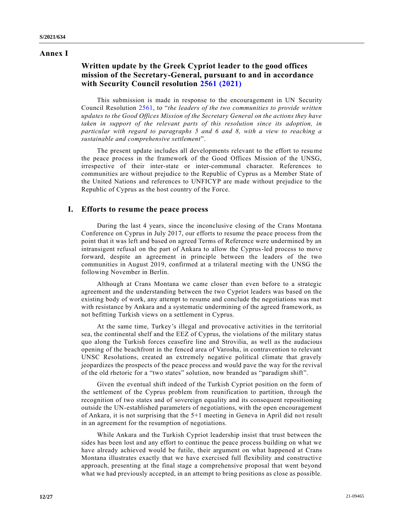## **Annex I**

## **Written update by the Greek Cypriot leader to the good offices mission of the Secretary-General, pursuant to and in accordance with Security Council resolution [2561 \(2021\)](https://undocs.org/en/S/RES/2561(2021))**

This submission is made in response to the encouragement in UN Security Council Resolution [2561,](https://undocs.org/en/S/RES/2561(2021)) to "*the leaders of the two communities to provide written updates to the Good Offices Mission of the Secretary General on the actions they have taken in support of the relevant parts of this resolution since its adoption, in particular with regard to paragraphs 5 and 6 and 8, with a view to reaching a sustainable and comprehensive settlement*".

The present update includes all developments relevant to the effort to resume the peace process in the framework of the Good Offices Mission of the UNSG, irrespective of their inter-state or inter-communal character. References to communities are without prejudice to the Republic of Cyprus as a Member State of the United Nations and references to UNFICYP are made without prejudice to the Republic of Cyprus as the host country of the Force.

## **I. Efforts to resume the peace process**

During the last 4 years, since the inconclusive closing of the Crans Montana Conference on Cyprus in July 2017, our efforts to resume the peace process from the point that it was left and based on agreed Terms of Reference were undermined by an intransigent refusal on the part of Ankara to allow the Cyprus-led process to move forward, despite an agreement in principle between the leaders of the two communities in August 2019, confirmed at a trilateral meeting with the UNSG the following November in Berlin.

Although at Crans Montana we came closer than even before to a strategic agreement and the understanding between the two Cypriot leaders was based on the existing body of work, any attempt to resume and conclude the negotiations was met with resistance by Ankara and a systematic undermining of the agreed framework, as not befitting Turkish views on a settlement in Cyprus.

At the same time, Turkey's illegal and provocative activities in the territorial sea, the continental shelf and the EEZ of Cyprus, the violations of the military status quo along the Turkish forces ceasefire line and Strovilia, as well as the audacious opening of the beachfront in the fenced area of Varosha, in contravention to relevant UNSC Resolutions, created an extremely negative political climate that gravely jeopardizes the prospects of the peace process and would pave the way for the revival of the old rhetoric for a "two states" solution, now branded as "paradigm shift".

Given the eventual shift indeed of the Turkish Cypriot position on the form of the settlement of the Cyprus problem from reunification to partition, through the recognition of two states and of sovereign equality and its consequent repositioning outside the UN-established parameters of negotiations, with the open encouragement of Ankara, it is not surprising that the 5+1 meeting in Geneva in April did no t result in an agreement for the resumption of negotiations.

While Ankara and the Turkish Cypriot leadership insist that trust between the sides has been lost and any effort to continue the peace process building on what we have already achieved would be futile, their argument on what happened at Crans Montana illustrates exactly that we have exercised full flexibility and constructive approach, presenting at the final stage a comprehensive proposal that went beyond what we had previously accepted, in an attempt to bring positions as close as possible.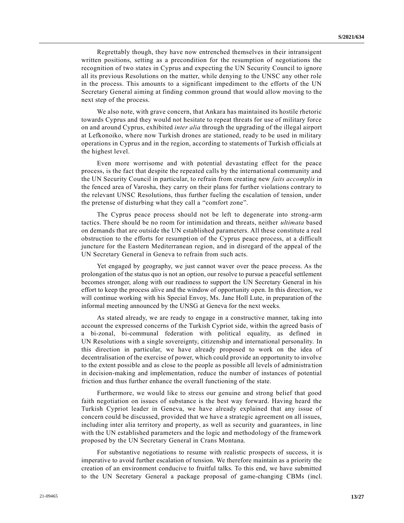Regrettably though, they have now entrenched themselves in their intransigent written positions, setting as a precondition for the resumption of negotiations the recognition of two states in Cyprus and expecting the UN Security Council to ignore all its previous Resolutions on the matter, while denying to the UNSC any other role in the process. This amounts to a significant impediment to the efforts of the UN Secretary General aiming at finding common ground that would allow moving to the next step of the process.

We also note, with grave concern, that Ankara has maintained its hostile rhetoric towards Cyprus and they would not hesitate to repeat threats for use of military force on and around Cyprus, exhibited *inter alia* through the upgrading of the illegal airport at Lefkonoiko, where now Turkish drones are stationed, ready to be used in military operations in Cyprus and in the region, according to statements of Turkish officials at the highest level.

Even more worrisome and with potential devastating effect for the peace process, is the fact that despite the repeated calls by the international community and the UN Security Council in particular, to refrain from creating new *faits accomplis* in the fenced area of Varosha, they carry on their plans for further violations contrary to the relevant UNSC Resolutions, thus further fueling the escalation of tension, under the pretense of disturbing what they call a "comfort zone".

The Cyprus peace process should not be left to degenerate into strong-arm tactics. There should be no room for intimidation and threats, neither *ultimata* based on demands that are outside the UN established parameters. All these constitute a real obstruction to the efforts for resumption of the Cyprus peace process, at a difficult juncture for the Eastern Mediterranean region, and in disregard of the appeal of the UN Secretary General in Geneva to refrain from such acts.

Yet engaged by geography, we just cannot waver over the peace process. As the prolongation of the status quo is not an option, our resolve to pursue a peaceful settlement becomes stronger, along with our readiness to support the UN Secretary General in his effort to keep the process alive and the window of opportunity open. In this direction, we will continue working with his Special Envoy, Ms. Jane Holl Lute, in preparation of the informal meeting announced by the UNSG at Geneva for the next weeks.

As stated already, we are ready to engage in a constructive manner, taking into account the expressed concerns of the Turkish Cypriot side, within the agreed basis of a bi-zonal, bi-communal federation with political equality, as defined in UN Resolutions with a single sovereignty, citizenship and international personality. In this direction in particular, we have already proposed to work on the idea of decentralisation of the exercise of power, which could provide an opportunity to involve to the extent possible and as close to the people as possible all levels of administra tion in decision-making and implementation, reduce the number of instances of potential friction and thus further enhance the overall functioning of the state.

Furthermore, we would like to stress our genuine and strong belief that good faith negotiation on issues of substance is the best way forward. Having heard the Turkish Cypriot leader in Geneva, we have already explained that any issue of concern could be discussed, provided that we have a strategic agreement on all issues, including inter alia territory and property, as well as security and guarantees, in line with the UN established parameters and the logic and methodology of the framework proposed by the UN Secretary General in Crans Montana.

For substantive negotiations to resume with realistic prospects of success, it is imperative to avoid further escalation of tension. We therefore maintain as a priority the creation of an environment conducive to fruitful talks. To this end, we have submitted to the UN Secretary General a package proposal of game-changing CBMs (incl.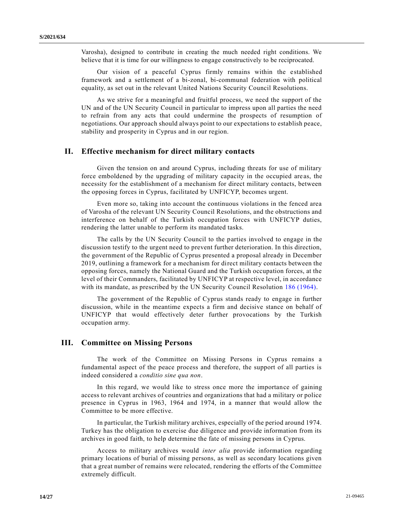Varosha), designed to contribute in creating the much needed right conditions. We believe that it is time for our willingness to engage constructively to be reciprocated.

Our vision of a peaceful Cyprus firmly remains within the established framework and a settlement of a bi-zonal, bi-communal federation with political equality, as set out in the relevant United Nations Security Council Resolutions.

As we strive for a meaningful and fruitful process, we need the support of the UN and of the UN Security Council in particular to impress upon all parties the need to refrain from any acts that could undermine the prospects of resumption of negotiations. Our approach should always point to our expectations to establish peace, stability and prosperity in Cyprus and in our region.

## **II. Effective mechanism for direct military contacts**

Given the tension on and around Cyprus, including threats for use of military force emboldened by the upgrading of military capacity in the occupied are as, the necessity for the establishment of a mechanism for direct military contacts, between the opposing forces in Cyprus, facilitated by UNFICYP, becomes urgent.

Even more so, taking into account the continuous violations in the fenced area of Varosha of the relevant UN Security Council Resolutions, and the obstructions and interference on behalf of the Turkish occupation forces with UNFICYP duties, rendering the latter unable to perform its mandated tasks.

The calls by the UN Security Council to the parties involved to engage in the discussion testify to the urgent need to prevent further deterioration. In this direction, the government of the Republic of Cyprus presented a proposal already in December 2019, outlining a framework for a mechanism for direct military contacts between the opposing forces, namely the National Guard and the Turkish occupation forces, at the level of their Commanders, facilitated by UNFICYP at respective level, in accordance with its mandate, as prescribed by the UN Security Council Resolution [186 \(1964\).](https://undocs.org/en/S/RES/186(1964))

The government of the Republic of Cyprus stands ready to engage in further discussion, while in the meantime expects a firm and decisive stance on behalf of UNFICYP that would effectively deter further provocations by the Turkish occupation army.

## **III. Committee on Missing Persons**

The work of the Committee on Missing Persons in Cyprus remains a fundamental aspect of the peace process and therefore, the support of all parties is indeed considered a *conditio sine qua non*.

In this regard, we would like to stress once more the importance of gaining access to relevant archives of countries and organizations that had a military or police presence in Cyprus in 1963, 1964 and 1974, in a manner that would allow the Committee to be more effective.

In particular, the Turkish military archives, especially of the period around 1974. Turkey has the obligation to exercise due diligence and provide information from its archives in good faith, to help determine the fate of missing persons in Cyprus.

Access to military archives would *inter alia* provide information regarding primary locations of burial of missing persons, as well as secondary locations given that a great number of remains were relocated, rendering the efforts of the Committee extremely difficult.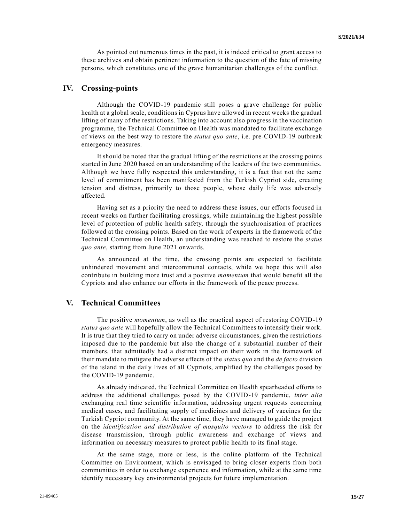As pointed out numerous times in the past, it is indeed critical to grant access to these archives and obtain pertinent information to the question of the fate of missing persons, which constitutes one of the grave humanitarian challenges of the conflict.

## **IV. Crossing-points**

Although the COVID-19 pandemic still poses a grave challenge for public health at a global scale, conditions in Cyprus have allowed in recent weeks the gradual lifting of many of the restrictions. Taking into account also progress in the vaccination programme, the Technical Committee on Health was mandated to facilitate exchange of views on the best way to restore the *status quo ante*, i.e. pre-COVID-19 outbreak emergency measures.

It should be noted that the gradual lifting of the restrictions at the crossing points started in June 2020 based on an understanding of the leaders of the two communities. Although we have fully respected this understanding, it is a fact that not the same level of commitment has been manifested from the Turkish Cypriot side, creating tension and distress, primarily to those people, whose daily life was adversely affected.

Having set as a priority the need to address these issues, our efforts focused in recent weeks on further facilitating crossings, while maintaining the highest possible level of protection of public health safety, through the synchronisation of practices followed at the crossing points. Based on the work of experts in the framework of the Technical Committee on Health, an understanding was reached to restore the *status quo ante*, starting from June 2021 onwards.

As announced at the time, the crossing points are expected to facilitate unhindered movement and intercommunal contacts, while we hope this will also contribute in building more trust and a positive *momentum* that would benefit all the Cypriots and also enhance our efforts in the framework of the peace process.

## **V. Technical Committees**

The positive *momentum*, as well as the practical aspect of restoring COVID-19 *status quo ante* will hopefully allow the Technical Committees to intensify their work. It is true that they tried to carry on under adverse circumstances, given the restrictions imposed due to the pandemic but also the change of a substantial number of their members, that admittedly had a distinct impact on their work in the framework of their mandate to mitigate the adverse effects of the *status quo* and the *de facto* division of the island in the daily lives of all Cypriots, amplified by the challenges posed by the COVID-19 pandemic.

As already indicated, the Technical Committee on Health spearheaded efforts to address the additional challenges posed by the COVID-19 pandemic, *inter alia* exchanging real time scientific information, addressing urgent requests concerning medical cases, and facilitating supply of medicines and delivery of vaccines for the Turkish Cypriot community. At the same time, they have managed to guide the project on the *identification and distribution of mosquito vectors* to address the risk for disease transmission, through public awareness and exchange of views and information on necessary measures to protect public health to its final stage.

At the same stage, more or less, is the online platform of the Technical Committee on Environment, which is envisaged to bring closer experts from both communities in order to exchange experience and information, while at the same time identify necessary key environmental projects for future implementation.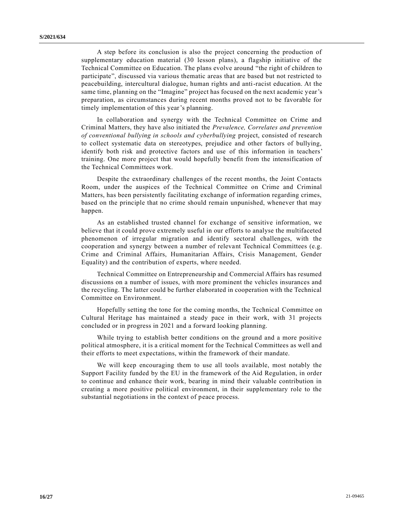A step before its conclusion is also the project concerning the production of supplementary education material (30 lesson plans), a flagship initiative of the Technical Committee on Education. The plans evolve around "the right of children to participate", discussed via various thematic areas that are based but not restricted to peacebuilding, intercultural dialogue, human rights and anti-racist education. At the same time, planning on the "Imagine" project has focused on the next academic year's preparation, as circumstances during recent months proved not to be favorable for timely implementation of this year's planning.

In collaboration and synergy with the Technical Committee on Crime and Criminal Matters, they have also initiated the *Prevalence, Correlates and prevention of conventional bullying in schools and cyberbullying* project, consisted of research to collect systematic data on stereotypes, prejudice and other factors of bullying, identify both risk and protective factors and use of this information in teachers' training. One more project that would hopefully benefit from the intensification of the Technical Committees work.

Despite the extraordinary challenges of the recent months, the Joint Contacts Room, under the auspices of the Technical Committee on Crime and Criminal Matters, has been persistently facilitating exchange of information regarding crimes, based on the principle that no crime should remain unpunished, whenever that may happen.

As an established trusted channel for exchange of sensitive information, we believe that it could prove extremely useful in our efforts to analyse the multifaceted phenomenon of irregular migration and identify sectoral challenges, with the cooperation and synergy between a number of relevant Technical Committees (e.g. Crime and Criminal Affairs, Humanitarian Affairs, Crisis Management, Gender Equality) and the contribution of experts, where needed.

Technical Committee on Entrepreneurship and Commercial Affairs has resumed discussions on a number of issues, with more prominent the vehicles insurances and the recycling. The latter could be further elaborated in cooperation with the Technical Committee on Environment.

Hopefully setting the tone for the coming months, the Technical Committee on Cultural Heritage has maintained a steady pace in their work, with 31 projects concluded or in progress in 2021 and a forward looking planning.

While trying to establish better conditions on the ground and a more positive political atmosphere, it is a critical moment for the Technical Committees as well and their efforts to meet expectations, within the framework of their mandate.

We will keep encouraging them to use all tools available, most notably the Support Facility funded by the EU in the framework of the Aid Regulation, in order to continue and enhance their work, bearing in mind their valuable contribution in creating a more positive political environment, in their supplementary role to the substantial negotiations in the context of peace process.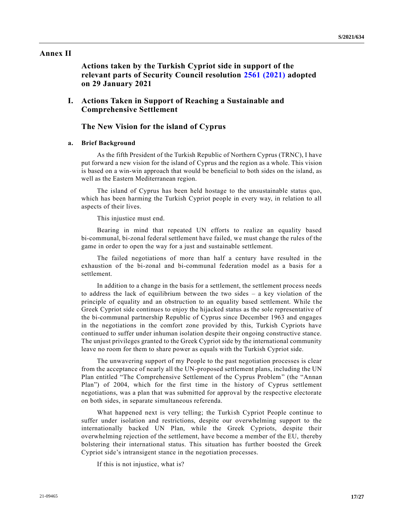### **Annex II**

**Actions taken by the Turkish Cypriot side in support of the relevant parts of Security Council resolution [2561 \(2021\)](https://undocs.org/en/S/RES/2561(2021)) adopted on 29 January 2021**

## **I. Actions Taken in Support of Reaching a Sustainable and Comprehensive Settlement**

## **The New Vision for the island of Cyprus**

### **a. Brief Background**

As the fifth President of the Turkish Republic of Northern Cyprus (TRNC), I have put forward a new vision for the island of Cyprus and the region as a whole. This vision is based on a win-win approach that would be beneficial to both sides on the island, as well as the Eastern Mediterranean region.

The island of Cyprus has been held hostage to the unsustainable status quo, which has been harming the Turkish Cypriot people in every way, in relation to all aspects of their lives.

This injustice must end.

Bearing in mind that repeated UN efforts to realize an equality based bi-communal, bi-zonal federal settlement have failed, we must change the rules of the game in order to open the way for a just and sustainable settlement.

The failed negotiations of more than half a century have resulted in the exhaustion of the bi-zonal and bi-communal federation model as a basis for a settlement.

In addition to a change in the basis for a settlement, the settlement process needs to address the lack of equilibrium between the two sides – a key violation of the principle of equality and an obstruction to an equality based settlement. While the Greek Cypriot side continues to enjoy the hijacked status as the sole representative of the bi-communal partnership Republic of Cyprus since December 1963 and engages in the negotiations in the comfort zone provided by this, Turkish Cypriots have continued to suffer under inhuman isolation despite their ongoing constructive stance. The unjust privileges granted to the Greek Cypriot side by the international community leave no room for them to share power as equals with the Turkish Cypriot side.

The unwavering support of my People to the past negotiation processes is clear from the acceptance of nearly all the UN-proposed settlement plans, including the UN Plan entitled "The Comprehensive Settlement of the Cyprus Problem" (the "Annan Plan") of 2004, which for the first time in the history of Cyprus settlement negotiations, was a plan that was submitted for approval by the respective electorate on both sides, in separate simultaneous referenda.

What happened next is very telling; the Turkish Cypriot People continue to suffer under isolation and restrictions, despite our overwhelming support to the internationally backed UN Plan, while the Greek Cypriots, despite their overwhelming rejection of the settlement, have become a member of the EU, thereby bolstering their international status. This situation has further boosted the Greek Cypriot side's intransigent stance in the negotiation processes.

If this is not injustice, what is?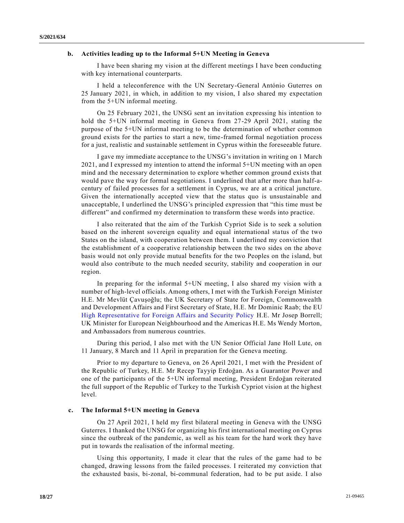### **b. Activities leading up to the Informal 5+UN Meeting in Geneva**

I have been sharing my vision at the different meetings I have been conducting with key international counterparts.

I held a teleconference with the UN Secretary-General António Guterres on 25 January 2021, in which, in addition to my vision, I also shared my expectation from the 5+UN informal meeting.

On 25 February 2021, the UNSG sent an invitation expressing his intention to hold the 5+UN informal meeting in Geneva from 27-29 April 2021, stating the purpose of the 5+UN informal meeting to be the determination of whether common ground exists for the parties to start a new, time-framed formal negotiation process for a just, realistic and sustainable settlement in Cyprus within the foreseeable future.

I gave my immediate acceptance to the UNSG's invitation in writing on 1 March 2021, and I expressed my intention to attend the informal 5+UN meeting with an open mind and the necessary determination to explore whether common ground exists that would pave the way for formal negotiations. I underlined that after more than half-acentury of failed processes for a settlement in Cyprus, we are at a critical juncture. Given the internationally accepted view that the status quo is unsustainable and unacceptable, I underlined the UNSG's principled expression that "this time must be different" and confirmed my determination to transform these words into practice.

I also reiterated that the aim of the Turkish Cypriot Side is to seek a solution based on the inherent sovereign equality and equal international status of the two States on the island, with cooperation between them. I underlined my conviction that the establishment of a cooperative relationship between the two sides on the above basis would not only provide mutual benefits for the two Peoples on the island, but would also contribute to the much needed security, stability and cooperation in our region.

In preparing for the informal 5+UN meeting, I also shared my vision with a number of high-level officials. Among others, I met with the Turkish Foreign Minister H.E. Mr Mevlüt Çavuşoğlu; the UK Secretary of State for Foreign, Commonwealth and Development Affairs and First Secretary of State, H.E. Mr Dominic Raab; the EU [High Representative for Foreign Affairs and Security Policy](https://en.wikipedia.org/wiki/High_Representative_of_the_Union_for_Foreign_Affairs_and_Security_Policy) H.E. Mr Josep Borrell; UK Minister for European Neighbourhood and the Americas H.E. Ms Wendy Morton, and Ambassadors from numerous countries.

During this period, I also met with the UN Senior Official Jane Holl Lute, on 11 January, 8 March and 11 April in preparation for the Geneva meeting.

Prior to my departure to Geneva, on 26 April 2021, I met with the President of the Republic of Turkey, H.E. Mr Recep Tayyip Erdoğan. As a Guarantor Power and one of the participants of the 5+UN informal meeting, President Erdoğan reiterated the full support of the Republic of Turkey to the Turkish Cypriot vision at the highest level.

### **c. The Informal 5+UN meeting in Geneva**

On 27 April 2021, I held my first bilateral meeting in Geneva with the UNSG Guterres. I thanked the UNSG for organizing his first international meeting on Cyprus since the outbreak of the pandemic, as well as his team for the hard work they have put in towards the realisation of the informal meeting.

Using this opportunity, I made it clear that the rules of the game had to be changed, drawing lessons from the failed processes. I reiterated my conviction that the exhausted basis, bi-zonal, bi-communal federation, had to be put aside. I also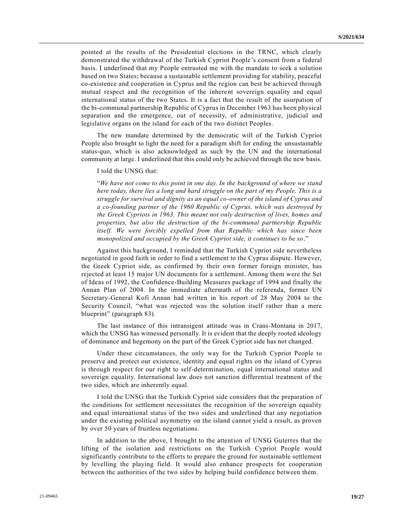pointed at the results of the Presidential elections in the TRNC, which clearly demonstrated the withdrawal of the Turkish Cypriot People's consent from a federal basis. I underlined that my People entrusted me with the mandate to seek a solution based on two States; because a sustainable settlement providing for stability, peaceful co-existence and cooperation in Cyprus and the region can best be achieved through mutual respect and the recognition of the inherent sovereign equality and equal international status of the two States. It is a fact that the result of the usurpation of the bi-communal partnership Republic of Cyprus in December 1963 has been physical separation and the emergence, out of necessity, of administrative, judicial and legislative organs on the island for each of the two distinct Peoples.

The new mandate determined by the democratic will of the Turkish Cypriot People also brought to light the need for a paradigm shift for ending the unsustainable status-quo, which is also acknowledged as such by the UN and the international community at large. I underlined that this could only be achieved through the new basis.

#### I told the UNSG that:

"*We have not come to this point in one day. In the background of where we stand here today, there lies a long and hard struggle on the part of my People. This is a struggle for survival and dignity as an equal co-owner of the island of Cyprus and a co-founding partner of the 1960 Republic of Cyprus, which was destroyed by the Greek Cypriots in 1963. This meant not only destruction of lives, homes and properties, but also the destruction of the bi-communal partnership Republic itself. We were forcibly expelled from that Republic which has since been monopolized and occupied by the Greek Cypriot side, it continues to be so*."

Against this background, I reminded that the Turkish Cypriot side nevertheless negotiated in good faith in order to find a settlement to the Cyprus dispute. However, the Greek Cypriot side, as confirmed by their own former foreign minister, has rejected at least 15 major UN documents for a settlement. Among them were the Set of Ideas of 1992, the Confidence-Building Measures package of 1994 and finally the Annan Plan of 2004. In the immediate aftermath of the referenda, former UN Secretary-General Kofi Annan had written in his report of 28 May 2004 to the Security Council, "what was rejected was the solution itself rather than a mere blueprint" (paragraph 83).

The last instance of this intransigent attitude was in Crans-Montana in 2017, which the UNSG has witnessed personally. It is evident that the deeply rooted ideology of dominance and hegemony on the part of the Greek Cypriot side has not changed.

Under these circumstances, the only way for the Turkish Cypriot People to preserve and protect our existence, identity and equal rights on the island of Cyprus is through respect for our right to self-determination, equal international status and sovereign equality. International law does not sanction differential treatment of the two sides, which are inherently equal.

I told the UNSG that the Turkish Cypriot side considers that the preparation of the conditions for settlement necessitates the recognition of the sovereign equality and equal international status of the two sides and underlined that any negotiation under the existing political asymmetry on the island cannot yield a result, as proven by over 50 years of fruitless negotiations.

In addition to the above, I brought to the attention of UNSG Guterres that the lifting of the isolation and restrictions on the Turkish Cypriot People would significantly contribute to the efforts to prepare the ground for sustainable settlement by levelling the playing field. It would also enhance prospects for cooperation between the authorities of the two sides by helping build confidence between them.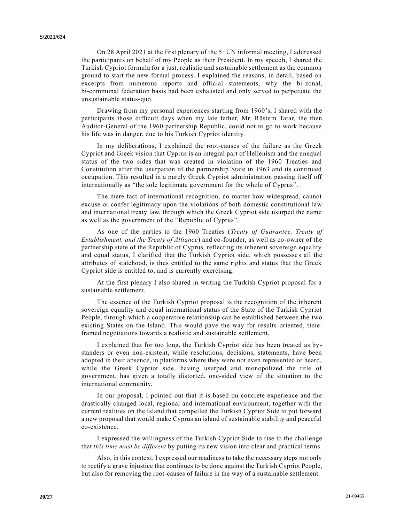On 28 April 2021 at the first plenary of the 5+UN informal meeting, I addressed the participants on behalf of my People as their President. In my speech, I shared the Turkish Cypriot formula for a just, realistic and sustainable settlement as the common ground to start the new formal process. I explained the reasons, in detail, based on excerpts from numerous reports and official statements, why the bi-zonal, bi-communal federation basis had been exhausted and only served to perpetuate the unsustainable status-quo.

Drawing from my personal experiences starting from 1960's, I shared with the participants those difficult days when my late father, Mr. Rüstem Tatar, the then Auditor-General of the 1960 partnership Republic, could not to go to work because his life was in danger, due to his Turkish Cypriot identity.

In my deliberations, I explained the root-causes of the failure as the Greek Cypriot and Greek vision that Cyprus is an integral part of Hellenism and the unequal status of the two sides that was created in violation of the 1960 Treaties and Constitution after the usurpation of the partnership State in 1963 and its continued occupation. This resulted in a purely Greek Cypriot administration passing itself off internationally as "the sole legitimate government for the whole of Cyprus".

The mere fact of international recognition, no matter how widespread, cannot excuse or confer legitimacy upon the violations of both domestic constitutional law and international treaty law, through which the Greek Cypriot side usurped the name as well as the government of the "Republic of Cyprus".

As one of the parties to the 1960 Treaties (*Treaty of Guarantee, Treaty of Establishment, and the Treaty of Alliance*) and co-founder, as well as co-owner of the partnership state of the Republic of Cyprus, reflecting its inherent sovereign equality and equal status, I clarified that the Turkish Cypriot side, which possesse s all the attributes of statehood, is thus entitled to the same rights and status that the Greek Cypriot side is entitled to, and is currently exercising.

At the first plenary I also shared in writing the Turkish Cypriot proposal for a sustainable settlement.

The essence of the Turkish Cypriot proposal is the recognition of the inherent sovereign equality and equal international status of the State of the Turkish Cypriot People, through which a cooperative relationship can be established between the two existing States on the Island. This would pave the way for results-oriented, timeframed negotiations towards a realistic and sustainable settlement.

I explained that for too long, the Turkish Cypriot side has been treated as by standers or even non-existent, while resolutions, decisions, statements, have been adopted in their absence, in platforms where they were not even represented or heard, while the Greek Cypriot side, having usurped and monopolized the title of government, has given a totally distorted, one-sided view of the situation to the international community.

In our proposal, I pointed out that it is based on concrete experience and the drastically changed local, regional and international environment, together with the current realities on the Island that compelled the Turkish Cypriot Side to put forward a new proposal that would make Cyprus an island of sustainable stability and peaceful co-existence.

I expressed the willingness of the Turkish Cypriot Side to rise to the challenge that *this time must be different* by putting its new vision into clear and practical terms.

Also, in this context, I expressed our readiness to take the necessary steps not only to rectify a grave injustice that continues to be done against the Turkish Cypriot People, but also for removing the root-causes of failure in the way of a sustainable settlement.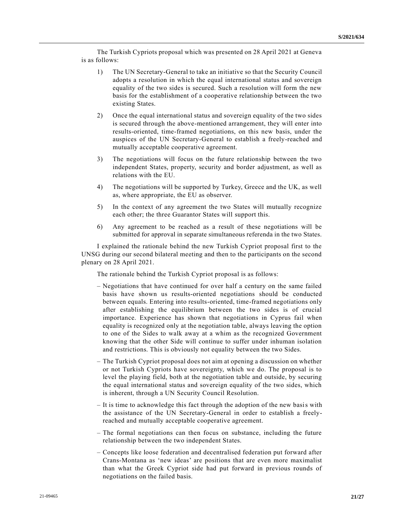The Turkish Cypriots proposal which was presented on 28 April 2021 at Geneva is as follows:

- 1) The UN Secretary-General to take an initiative so that the Security Council adopts a resolution in which the equal international status and sovereign equality of the two sides is secured. Such a resolution will form the new basis for the establishment of a cooperative relationship between the two existing States.
- 2) Once the equal international status and sovereign equality of the two sides is secured through the above-mentioned arrangement, they will enter into results-oriented, time-framed negotiations, on this new basis, under the auspices of the UN Secretary-General to establish a freely-reached and mutually acceptable cooperative agreement.
- 3) The negotiations will focus on the future relationship between the two independent States, property, security and border adjustment, as well as relations with the EU.
- 4) The negotiations will be supported by Turkey, Greece and the UK, as well as, where appropriate, the EU as observer.
- 5) In the context of any agreement the two States will mutually recognize each other; the three Guarantor States will support this.
- 6) Any agreement to be reached as a result of these negotiations will be submitted for approval in separate simultaneous referenda in the two States.

I explained the rationale behind the new Turkish Cypriot proposal first to the UNSG during our second bilateral meeting and then to the participants on the second plenary on 28 April 2021.

The rationale behind the Turkish Cypriot proposal is as follows:

- Negotiations that have continued for over half a century on the same failed basis have shown us results-oriented negotiations should be conducted between equals. Entering into results-oriented, time-framed negotiations only after establishing the equilibrium between the two sides is of crucial importance. Experience has shown that negotiations in Cyprus fail when equality is recognized only at the negotiation table, always leaving the option to one of the Sides to walk away at a whim as the recognized Government knowing that the other Side will continue to suffer under inhuman isolation and restrictions. This is obviously not equality between the two Sides.
- The Turkish Cypriot proposal does not aim at opening a discussion on whether or not Turkish Cypriots have sovereignty, which we do. The proposal is to level the playing field, both at the negotiation table and outside, by securing the equal international status and sovereign equality of the two sides, which is inherent, through a UN Security Council Resolution.
- It is time to acknowledge this fact through the adoption of the new basis with the assistance of the UN Secretary-General in order to establish a freelyreached and mutually acceptable cooperative agreement.
- The formal negotiations can then focus on substance, including the future relationship between the two independent States.
- Concepts like loose federation and decentralised federation put forward after Crans-Montana as 'new ideas' are positions that are even more maximalist than what the Greek Cypriot side had put forward in previous rounds of negotiations on the failed basis.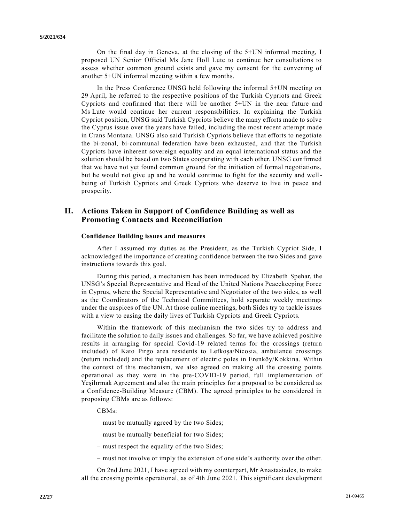On the final day in Geneva, at the closing of the 5+UN informal meeting, I proposed UN Senior Official Ms Jane Holl Lute to continue her consultations to assess whether common ground exists and gave my consent for the convening of another 5+UN informal meeting within a few months.

In the Press Conference UNSG held following the informal 5+UN meeting on 29 April, he referred to the respective positions of the Turkish Cypriots and Greek Cypriots and confirmed that there will be another 5+UN in the near future and Ms Lute would continue her current responsibilities. In explaining the Turkish Cypriot position, UNSG said Turkish Cypriots believe the many efforts made to solve the Cyprus issue over the years have failed, including the most recent attempt made in Crans Montana. UNSG also said Turkish Cypriots believe that efforts to negotiate the bi-zonal, bi-communal federation have been exhausted, and that the Turkish Cypriots have inherent sovereign equality and an equal international status and the solution should be based on two States cooperating with each other. UNSG confirmed that we have not yet found common ground for the initiation of formal negotiations, but he would not give up and he would continue to fight for the security and wellbeing of Turkish Cypriots and Greek Cypriots who deserve to live in peace and prosperity.

## **II. Actions Taken in Support of Confidence Building as well as Promoting Contacts and Reconciliation**

### **Confidence Building issues and measures**

After I assumed my duties as the President, as the Turkish Cypriot Side, I acknowledged the importance of creating confidence between the two Sides and gave instructions towards this goal.

During this period, a mechanism has been introduced by Elizabeth Spehar, the UNSG's Special Representative and Head of the United Nations Peacekeeping Force in Cyprus, where the Special Representative and Negotiator of the two sides, as well as the Coordinators of the Technical Committees, hold separate weekly meetings under the auspices of the UN. At those online meetings, both Sides try to tackle issues with a view to easing the daily lives of Turkish Cypriots and Greek Cypriots.

Within the framework of this mechanism the two sides try to address and facilitate the solution to daily issues and challenges. So far, we have achieved positive results in arranging for special Covid-19 related terms for the crossings (return included) of Kato Pirgo area residents to Lefkoşa/Nicosia, ambulance crossings (return included) and the replacement of electric poles in Erenköy/Kokkina. Within the context of this mechanism, we also agreed on making all the crossing points operational as they were in the pre-COVID-19 period, full implementation of Yeşilırmak Agreement and also the main principles for a proposal to be considered as a Confidence-Building Measure (CBM). The agreed principles to be considered in proposing CBMs are as follows:

### CBMs:

- must be mutually agreed by the two Sides;
- must be mutually beneficial for two Sides;
- must respect the equality of the two Sides;
- must not involve or imply the extension of one side's authority over the other.

On 2nd June 2021, I have agreed with my counterpart, Mr Anastasiades, to make all the crossing points operational, as of 4th June 2021. This significant development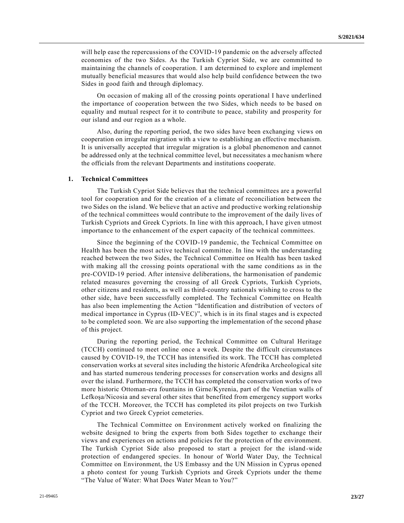will help ease the repercussions of the COVID-19 pandemic on the adversely affected economies of the two Sides. As the Turkish Cypriot Side, we are committed to maintaining the channels of cooperation. I am determined to explore and implement mutually beneficial measures that would also help build confidence between the two Sides in good faith and through diplomacy.

On occasion of making all of the crossing points operational I have underlined the importance of cooperation between the two Sides, which needs to be based on equality and mutual respect for it to contribute to peace, stability and prosperity for our island and our region as a whole.

Also, during the reporting period, the two sides have been exchanging views on cooperation on irregular migration with a view to establishing an effective mechanism. It is universally accepted that irregular migration is a global phenomenon and cannot be addressed only at the technical committee level, but necessitates a mechanism where the officials from the relevant Departments and institutions cooperate.

### **1. Technical Committees**

The Turkish Cypriot Side believes that the technical committees are a powerful tool for cooperation and for the creation of a climate of reconciliation between the two Sides on the island. We believe that an active and productive working relationship of the technical committees would contribute to the improvement of the daily lives of Turkish Cypriots and Greek Cypriots. In line with this approach, I have given utmost importance to the enhancement of the expert capacity of the technical committees.

Since the beginning of the COVID-19 pandemic, the Technical Committee on Health has been the most active technical committee. In line with the understanding reached between the two Sides, the Technical Committee on Health has been tasked with making all the crossing points operational with the same conditions as in the pre-COVID-19 period. After intensive deliberations, the harmonisation of pandemic related measures governing the crossing of all Greek Cypriots, Turkish Cypriots, other citizens and residents, as well as third-country nationals wishing to cross to the other side, have been successfully completed. The Technical Committee on Health has also been implementing the Action "Identification and distribution of vectors of medical importance in Cyprus (ID-VEC)", which is in its final stages and is expected to be completed soon. We are also supporting the implementation of the second phase of this project.

During the reporting period, the Technical Committee on Cultural Heritage (TCCH) continued to meet online once a week. Despite the difficult circumstances caused by COVID-19, the TCCH has intensified its work. The TCCH has completed conservation works at several sites including the historic Afendrika Archeological site and has started numerous tendering processes for conservation works and designs all over the island. Furthermore, the TCCH has completed the conservation works of two more historic Ottoman-era fountains in Girne/Kyrenia, part of the Venetian walls of Lefkoşa/Nicosia and several other sites that benefited from emergency support works of the TCCH. Moreover, the TCCH has completed its pilot projects on two Turkish Cypriot and two Greek Cypriot cemeteries.

The Technical Committee on Environment actively worked on finalizing the website designed to bring the experts from both Sides together to exchange their views and experiences on actions and policies for the protection of the environment. The Turkish Cypriot Side also proposed to start a project for the island -wide protection of endangered species. In honour of World Water Day, the Technical Committee on Environment, the US Embassy and the UN Mission in Cyprus opened a photo contest for young Turkish Cypriots and Greek Cypriots under the theme "The Value of Water: What Does Water Mean to You?"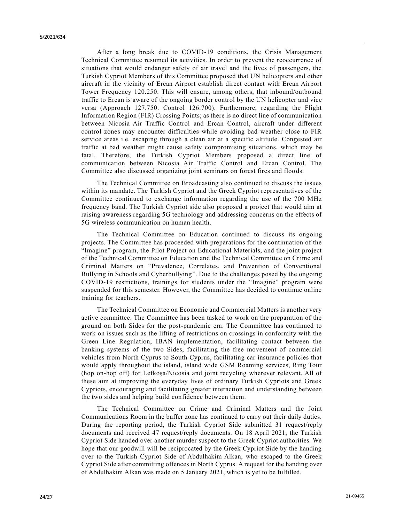After a long break due to COVID-19 conditions, the Crisis Management Technical Committee resumed its activities. In order to prevent the reoccurrence of situations that would endanger safety of air travel and the lives of passengers, the Turkish Cypriot Members of this Committee proposed that UN helicopters and other aircraft in the vicinity of Ercan Airport establish direct contact with Ercan Airport Tower Frequency 120.250. This will ensure, among others, that inbound/outbound traffic to Ercan is aware of the ongoing border control by the UN helicopter and vice versa (Approach 127.750. Control 126.700). Furthermore, regarding the Flight Information Region (FIR) Crossing Points; as there is no direct line of communication between Nicosia Air Traffic Control and Ercan Control, aircraft under different control zones may encounter difficulties while avoiding bad weather close to FIR service areas i.e. escaping through a clean air at a specific altitude. Congested air traffic at bad weather might cause safety compromising situations, which may be fatal. Therefore, the Turkish Cypriot Members proposed a direct line of communication between Nicosia Air Traffic Control and Ercan Control. The Committee also discussed organizing joint seminars on forest fires and floo ds.

The Technical Committee on Broadcasting also continued to discuss the issues within its mandate. The Turkish Cypriot and the Greek Cypriot representatives of the Committee continued to exchange information regarding the use of the 700 MHz frequency band. The Turkish Cypriot side also proposed a project that would aim at raising awareness regarding 5G technology and addressing concerns on the effects of 5G wireless communication on human health.

The Technical Committee on Education continued to discuss its ongoing projects. The Committee has proceeded with preparations for the continuation of the "Imagine" program, the Pilot Project on Educational Materials, and the joint project of the Technical Committee on Education and the Technical Committee on Crime and Criminal Matters on "Prevalence, Correlates, and Prevention of Conventional Bullying in Schools and Cyberbullying". Due to the challenges posed by the ongoing COVID-19 restrictions, trainings for students under the "Imagine" program were suspended for this semester. However, the Committee has decided to continue online training for teachers.

The Technical Committee on Economic and Commercial Matters is another very active committee. The Committee has been tasked to work on the preparation of the ground on both Sides for the post-pandemic era. The Committee has continued to work on issues such as the lifting of restrictions on crossings in conformity with the Green Line Regulation, IBAN implementation, facilitating contact between the banking systems of the two Sides, facilitating the free movement of commercial vehicles from North Cyprus to South Cyprus, facilitating car insurance policies that would apply throughout the island, island wide GSM Roaming services, Ring Tour (hop on-hop off) for Lefkoşa/Nicosia and joint recycling wherever relevant. All of these aim at improving the everyday lives of ordinary Turkish Cypriots and Greek Cypriots, encouraging and facilitating greater interaction and understanding between the two sides and helping build confidence between them.

The Technical Committee on Crime and Criminal Matters and the Joint Communications Room in the buffer zone has continued to carry out their daily duties. During the reporting period, the Turkish Cypriot Side submitted 31 request/reply documents and received 47 request/reply documents. On 18 April 2021, the Turkish Cypriot Side handed over another murder suspect to the Greek Cypriot authorities. We hope that our goodwill will be reciprocated by the Greek Cypriot Side by the handing over to the Turkish Cypriot Side of Abdulhakim Alkan, who escaped to the Greek Cypriot Side after committing offences in North Cyprus. A request for the handing over of Abdulhakim Alkan was made on 5 January 2021, which is yet to be fulfilled.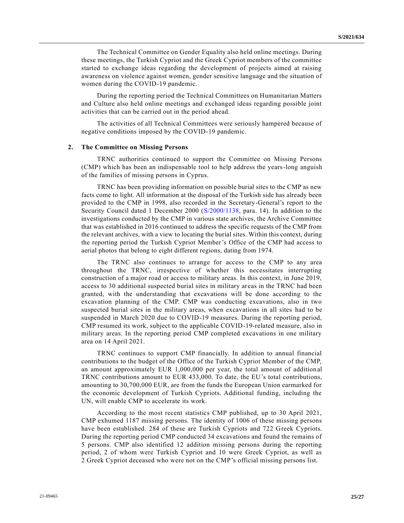The Technical Committee on Gender Equality also held online meetings. During these meetings, the Turkish Cypriot and the Greek Cypriot members of the committee started to exchange ideas regarding the development of projects aimed at raising awareness on violence against women, gender sensitive language and the situation of women during the COVID-19 pandemic.

During the reporting period the Technical Committees on Humanitarian Matters and Culture also held online meetings and exchanged ideas regarding possible joint activities that can be carried out in the period ahead.

The activities of all Technical Committees were seriously hampered because of negative conditions imposed by the COVID-19 pandemic.

#### **2. The Committee on Missing Persons**

TRNC authorities continued to support the Committee on Missing Persons (CMP) which has been an indispensable tool to help address the years-long anguish of the families of missing persons in Cyprus.

TRNC has been providing information on possible burial sites to the CMP as new facts come to light. All information at the disposal of the Turkish side has already been provided to the CMP in 1998, also recorded in the Secretary-General's report to the Security Council dated 1 December 2000 [\(S/2000/1138,](https://undocs.org/en/S/2000/1138) para. 14). In addition to the investigations conducted by the CMP in various state archives, the Archive Committee that was established in 2016 continued to address the specific requests of the CMP from the relevant archives, with a view to locating the burial sites. Within this context, during the reporting period the Turkish Cypriot Member's Office of the CMP had access to aerial photos that belong to eight different regions, dating from 1974.

The TRNC also continues to arrange for access to the CMP to any area throughout the TRNC, irrespective of whether this necessitates interrupting construction of a major road or access to military areas. In this context, in June 2019, access to 30 additional suspected burial sites in military areas in the TRNC had been granted, with the understanding that excavations will be done according to the excavation planning of the CMP. CMP was conducting excavations, also in two suspected burial sites in the military areas, when excavations in all sites had to be suspended in March 2020 due to COVID-19 measures. During the reporting period, CMP resumed its work, subject to the applicable COVID-19-related measure, also in military areas. In the reporting period CMP completed excavations in one military area on 14 April 2021.

TRNC continues to support CMP financially. In addition to annual financial contributions to the budget of the Office of the Turkish Cypriot Member of the CMP, an amount approximately EUR 1,000,000 per year, the total amount of addition al TRNC contributions amount to EUR 433,000. To date, the EU's total contributions, amounting to 30,700,000 EUR, are from the funds the European Union earmarked for the economic development of Turkish Cypriots. Additional funding, including the UN, will enable CMP to accelerate its work.

According to the most recent statistics CMP published, up to 30 April 2021, CMP exhumed 1187 missing persons. The identity of 1006 of these missing persons have been established. 284 of these are Turkish Cypriots and 722 Greek Cypriots. During the reporting period CMP conducted 34 excavations and found the remains of 5 persons. CMP also identified 12 addition missing persons during the reporting period, 2 of whom were Turkish Cypriot and 10 were Greek Cypriot, as well as 2 Greek Cypriot deceased who were not on the CMP's official missing persons list.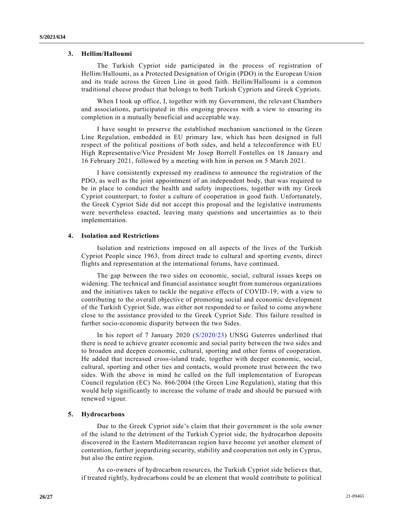### **3. Hellim/Halloumi**

The Turkish Cypriot side participated in the process of registration of Hellim/Halloumi, as a Protected Designation of Origin (PDO) in the European Union and its trade across the Green Line in good faith. Hellim/Halloumi is a common traditional cheese product that belongs to both Turkish Cypriots and Greek Cypriots.

When I took up office, I, together with my Government, the relevant Chambers and associations, participated in this ongoing process with a view to ensuring its completion in a mutually beneficial and acceptable way.

I have sought to preserve the established mechanism sanctioned in the Green Line Regulation, embedded in EU primary law, which has been designed in full respect of the political positions of both sides, and held a teleconference with EU High Representative/Vice President Mr Josep Borrell Fontelles on 18 January and 16 February 2021, followed by a meeting with him in person on 5 March 2021.

I have consistently expressed my readiness to announce the registration of the PDO, as well as the joint appointment of an independent body, that was required to be in place to conduct the health and safety inspections, together with my Greek Cypriot counterpart, to foster a culture of cooperation in good faith. Unfortunately, the Greek Cypriot Side did not accept this proposal and the legislative instruments were nevertheless enacted, leaving many questions and uncertainties as to their implementation.

#### **4. Isolation and Restrictions**

Isolation and restrictions imposed on all aspects of the lives of the Turkish Cypriot People since 1963, from direct trade to cultural and sporting events, direct flights and representation at the international forums, have continued.

The gap between the two sides on economic, social, cultural issues keeps on widening. The technical and financial assistance sought from numerous organizations and the initiatives taken to tackle the negative effects of COVID-19, with a view to contributing to the overall objective of promoting social and economic development of the Turkish Cypriot Side, was either not responded to or failed to come anywhere close to the assistance provided to the Greek Cypriot Side. This failure resulted in further socio-economic disparity between the two Sides.

In his report of 7 January 2020 [\(S/2020/23\)](https://undocs.org/en/S/2020/23) UNSG Guterres underlined that there is need to achieve greater economic and social parity between the two sides and to broaden and deepen economic, cultural, sporting and other forms of cooperation. He added that increased cross-island trade, together with deeper economic, social, cultural, sporting and other ties and contacts, would promote trust between the two sides. With the above in mind he called on the full implementation of European Council regulation (EC) No. 866/2004 (the Green Line Regulation), stating that this would help significantly to increase the volume of trade and should be pursued with renewed vigour.

#### **5. Hydrocarbons**

Due to the Greek Cypriot side's claim that their government is the sole owner of the island to the detriment of the Turkish Cypriot side, the hydrocarbon deposits discovered in the Eastern Mediterranean region have become yet another element of contention, further jeopardizing security, stability and cooperation not only in Cyprus, but also the entire region.

As co-owners of hydrocarbon resources, the Turkish Cypriot side believes that, if treated rightly, hydrocarbons could be an element that would contribute to political